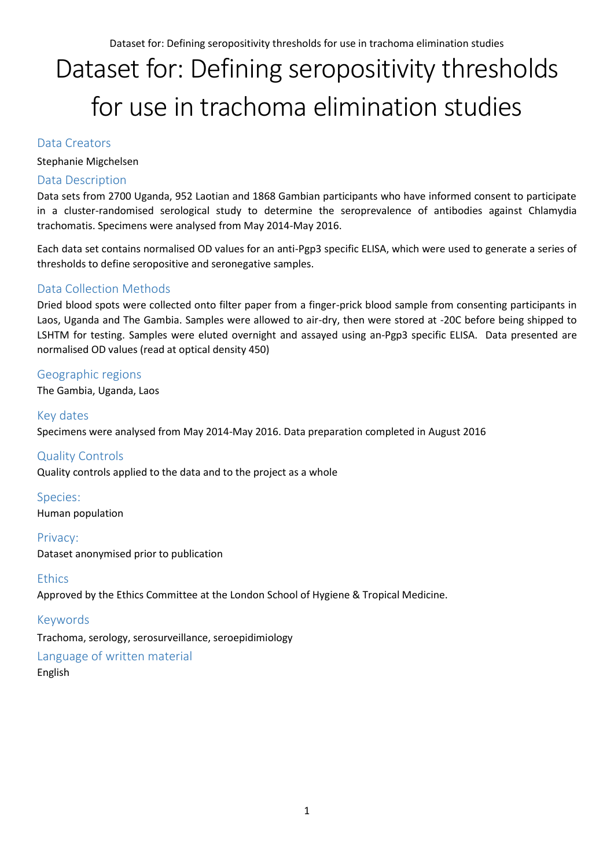# Dataset for: Defining seropositivity thresholds for use in trachoma elimination studies

Data Creators

Stephanie Migchelsen

### Data Description

Data sets from 2700 Uganda, 952 Laotian and 1868 Gambian participants who have informed consent to participate in a cluster-randomised serological study to determine the seroprevalence of antibodies against Chlamydia trachomatis. Specimens were analysed from May 2014-May 2016.

Each data set contains normalised OD values for an anti-Pgp3 specific ELISA, which were used to generate a series of thresholds to define seropositive and seronegative samples.

### Data Collection Methods

Dried blood spots were collected onto filter paper from a finger-prick blood sample from consenting participants in Laos, Uganda and The Gambia. Samples were allowed to air-dry, then were stored at -20C before being shipped to LSHTM for testing. Samples were eluted overnight and assayed using an-Pgp3 specific ELISA. Data presented are normalised OD values (read at optical density 450)

## Geographic regions

The Gambia, Uganda, Laos

Key dates Specimens were analysed from May 2014-May 2016. Data preparation completed in August 2016

Quality Controls Quality controls applied to the data and to the project as a whole

Species: Human population

Privacy: Dataset anonymised prior to publication

#### **Ethics**

Approved by the Ethics Committee at the London School of Hygiene & Tropical Medicine.

### Keywords

Trachoma, serology, serosurveillance, seroepidimiology

# Language of written material

English